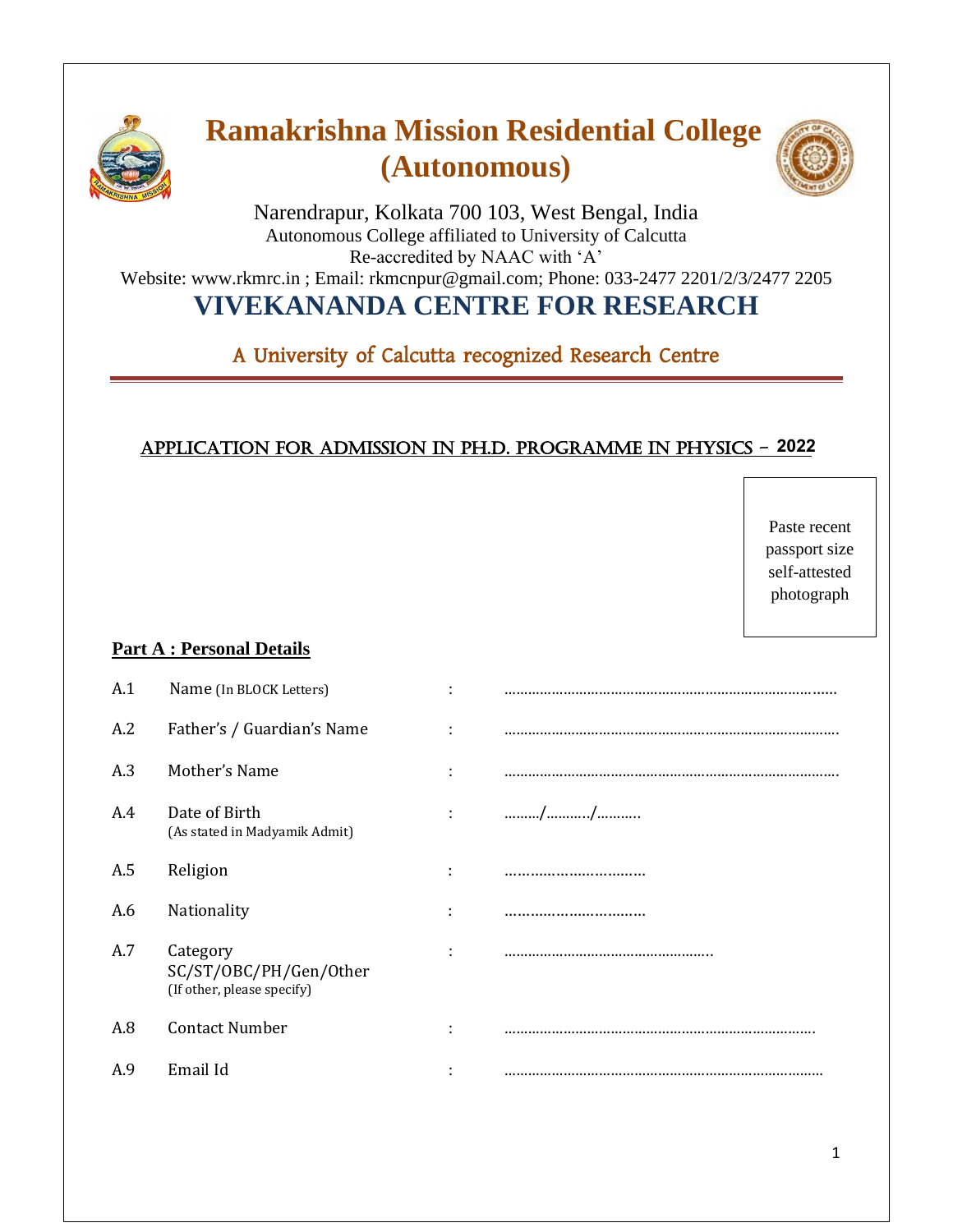

# **Ramakrishna Mission Residential College (Autonomous)**



Narendrapur, Kolkata 700 103, West Bengal, India Autonomous College affiliated to University of Calcutta Re-accredited by NAAC with 'A' Website: www.rkmrc.in ; Email: rkmcnpur@gmail.com; Phone: 033-2477 2201/2/3/2477 2205 **VIVEKANANDA CENTRE FOR RESEARCH** 

A University of Calcutta recognized Research Centre

### Application for admission in Ph.D. Programme in PHYSICS - 2021 **2022**

|     |                                                                  |                |    | Paste recent<br>passport size<br>self-attested<br>photograph |
|-----|------------------------------------------------------------------|----------------|----|--------------------------------------------------------------|
|     | <b>Part A: Personal Details</b>                                  |                |    |                                                              |
| A.1 | Name (In BLOCK Letters)                                          | $\ddot{\cdot}$ |    |                                                              |
| A.2 | Father's / Guardian's Name                                       |                |    |                                                              |
| A.3 | Mother's Name                                                    |                |    |                                                              |
| A.4 | Date of Birth<br>(As stated in Madyamik Admit)                   |                | // |                                                              |
| A.5 | Religion                                                         | ÷              |    |                                                              |
| A.6 | Nationality                                                      |                |    |                                                              |
| A.7 | Category<br>SC/ST/OBC/PH/Gen/Other<br>(If other, please specify) |                |    |                                                              |
| A.8 | <b>Contact Number</b>                                            |                |    |                                                              |
| A.9 | Email Id                                                         |                |    |                                                              |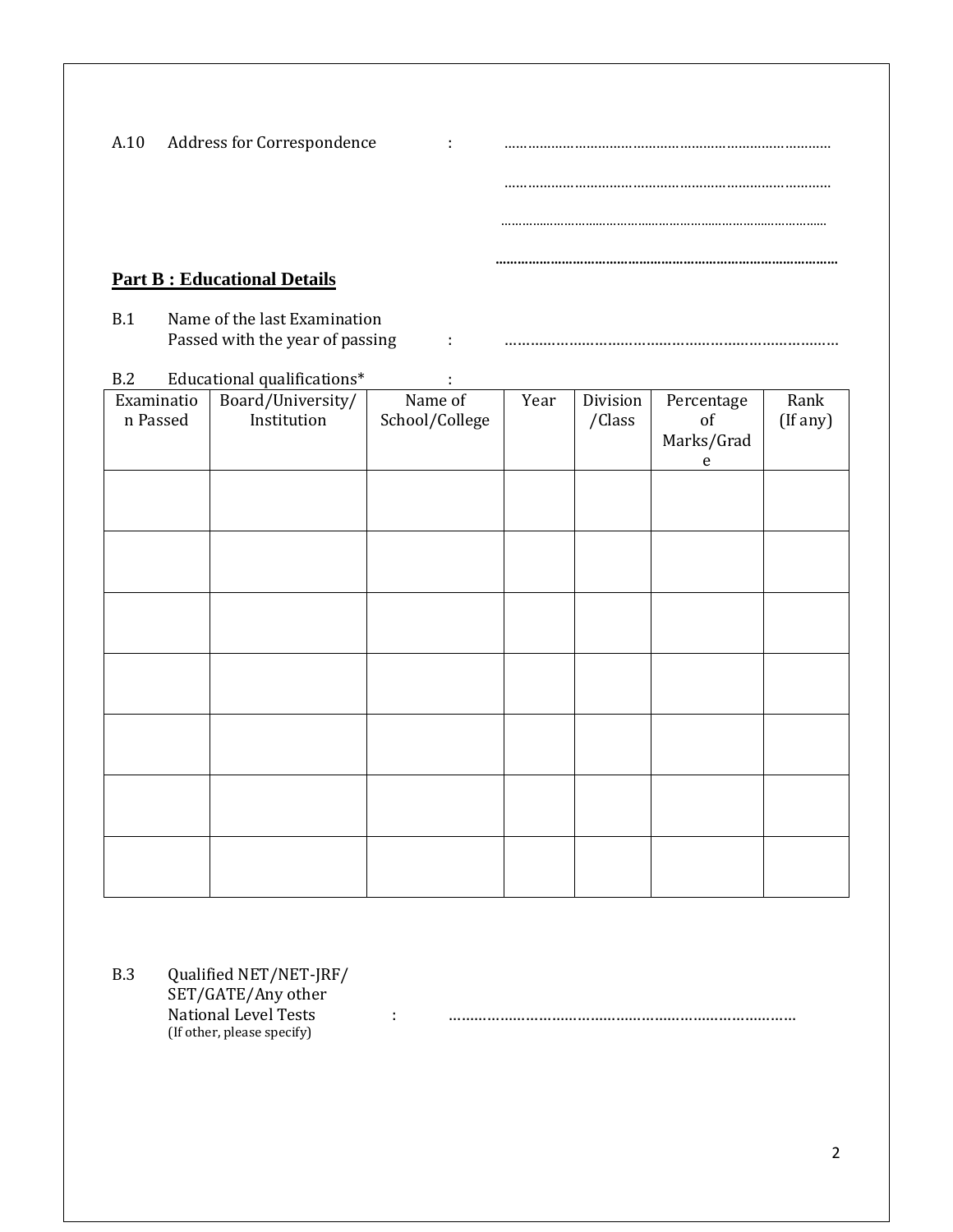| A.10 | Address for Correspondence | $\cdot$ | <br>. |
|------|----------------------------|---------|-------|
|      |                            |         |       |
|      |                            |         |       |
|      |                            |         | <br>  |

### **Part B : Educational Details**

B.1 Name of the last Examination Passed with the year of passing  $\qquad \qquad \ldots \qquad \ldots \qquad \ldots \qquad \ldots \qquad \ldots \qquad \ldots \qquad \ldots \qquad \ldots \qquad \ldots \qquad \ldots \qquad \ldots \qquad \ldots \qquad \ldots \qquad \ldots \qquad \ldots \qquad \ldots \qquad \ldots \qquad \ldots \qquad \ldots \qquad \ldots \qquad \ldots \qquad \ldots \qquad \ldots \qquad \ldots \qquad \ldots \qquad \ldots \qquad \ldots \qquad \ldots \qquad \ldots \qquad \ldots \qquad \ldots$ 

| B.2        | Educational qualifications* |                |      |          |            |          |
|------------|-----------------------------|----------------|------|----------|------------|----------|
| Examinatio | Board/University/           | Name of        | Year | Division | Percentage | Rank     |
| n Passed   | Institution                 | School/College |      | /Class   | of         | (If any) |
|            |                             |                |      |          | Marks/Grad |          |
|            |                             |                |      |          | ${\bf e}$  |          |
|            |                             |                |      |          |            |          |
|            |                             |                |      |          |            |          |
|            |                             |                |      |          |            |          |
|            |                             |                |      |          |            |          |
|            |                             |                |      |          |            |          |
|            |                             |                |      |          |            |          |
|            |                             |                |      |          |            |          |
|            |                             |                |      |          |            |          |
|            |                             |                |      |          |            |          |
|            |                             |                |      |          |            |          |
|            |                             |                |      |          |            |          |
|            |                             |                |      |          |            |          |
|            |                             |                |      |          |            |          |
|            |                             |                |      |          |            |          |
|            |                             |                |      |          |            |          |
|            |                             |                |      |          |            |          |
|            |                             |                |      |          |            |          |
|            |                             |                |      |          |            |          |
|            |                             |                |      |          |            |          |
|            |                             |                |      |          |            |          |
|            |                             |                |      |          |            |          |

B.3 Qualified NET/NET-JRF/ SET/GATE/Any other National Level Tests : ……………………………………………………………………… (If other, please specify)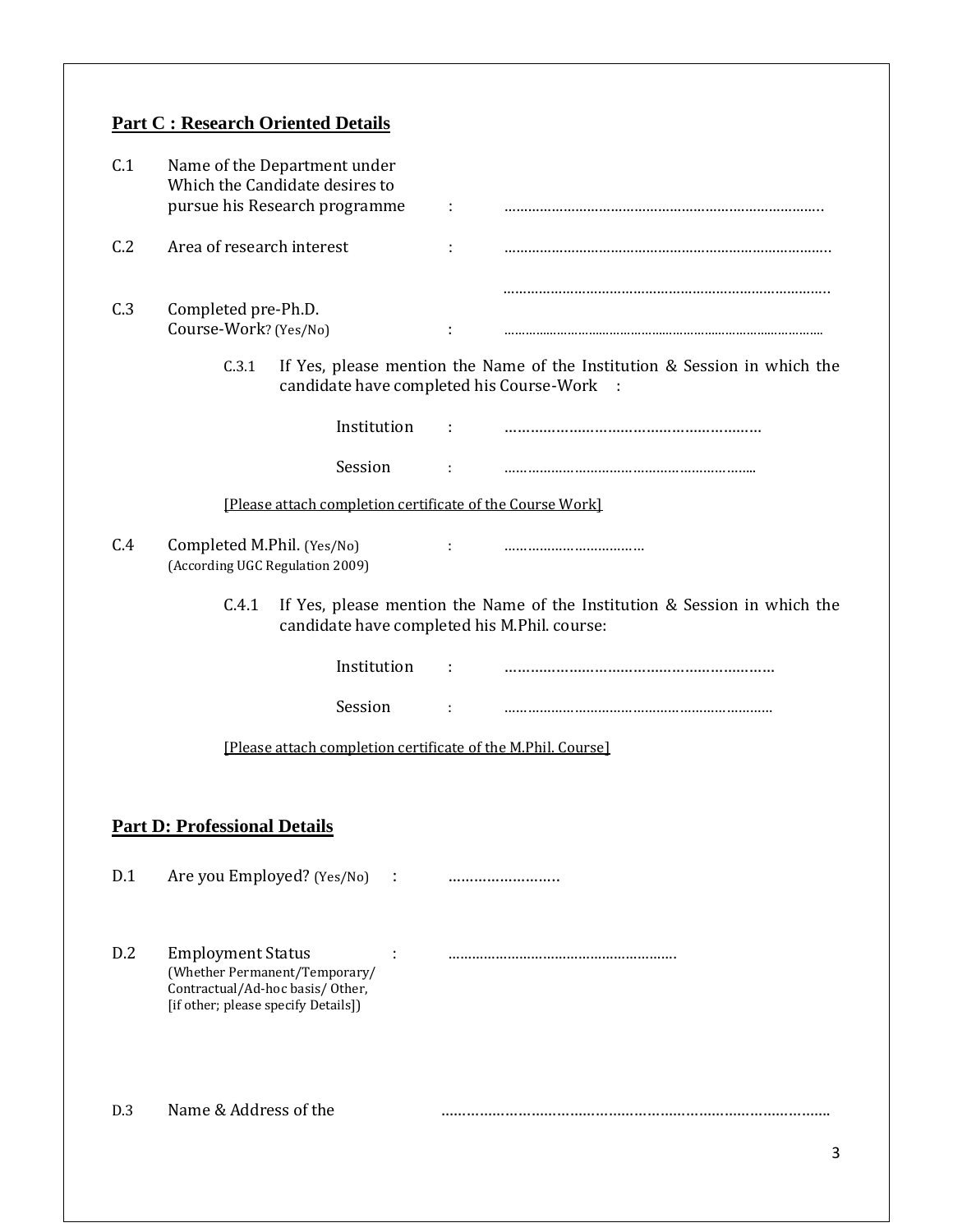## **Part C : Research Oriented Details**

| C.1 | Name of the Department under<br>Which the Candidate desires to<br>pursue his Research programme                                     | ÷ |                                                                                       |
|-----|-------------------------------------------------------------------------------------------------------------------------------------|---|---------------------------------------------------------------------------------------|
| C.2 | Area of research interest                                                                                                           |   |                                                                                       |
| C.3 | Completed pre-Ph.D.<br>Course-Work? (Yes/No)                                                                                        |   |                                                                                       |
|     | C.3.1<br>candidate have completed his Course-Work                                                                                   |   | If Yes, please mention the Name of the Institution & Session in which the<br>$\sim$ : |
|     | Institution                                                                                                                         |   |                                                                                       |
|     | Session                                                                                                                             | ÷ |                                                                                       |
|     | [Please attach completion certificate of the Course Work]                                                                           |   |                                                                                       |
| C.4 | Completed M.Phil. (Yes/No)<br>(According UGC Regulation 2009)                                                                       |   |                                                                                       |
|     | C.4.1<br>candidate have completed his M.Phil. course:                                                                               |   | If Yes, please mention the Name of the Institution & Session in which the             |
|     | Institution                                                                                                                         |   |                                                                                       |
|     | Session                                                                                                                             |   |                                                                                       |
|     | [Please attach completion certificate of the M.Phil. Course]                                                                        |   |                                                                                       |
|     | <b>Part D: Professional Details</b>                                                                                                 |   |                                                                                       |
| D.1 | Are you Employed? (Yes/No)<br>$\ddot{\phantom{0}}$                                                                                  |   |                                                                                       |
| D.2 | <b>Employment Status</b><br>(Whether Permanent/Temporary/<br>Contractual/Ad-hoc basis/Other,<br>[if other; please specify Details]) |   |                                                                                       |
| D.3 | Name & Address of the                                                                                                               |   |                                                                                       |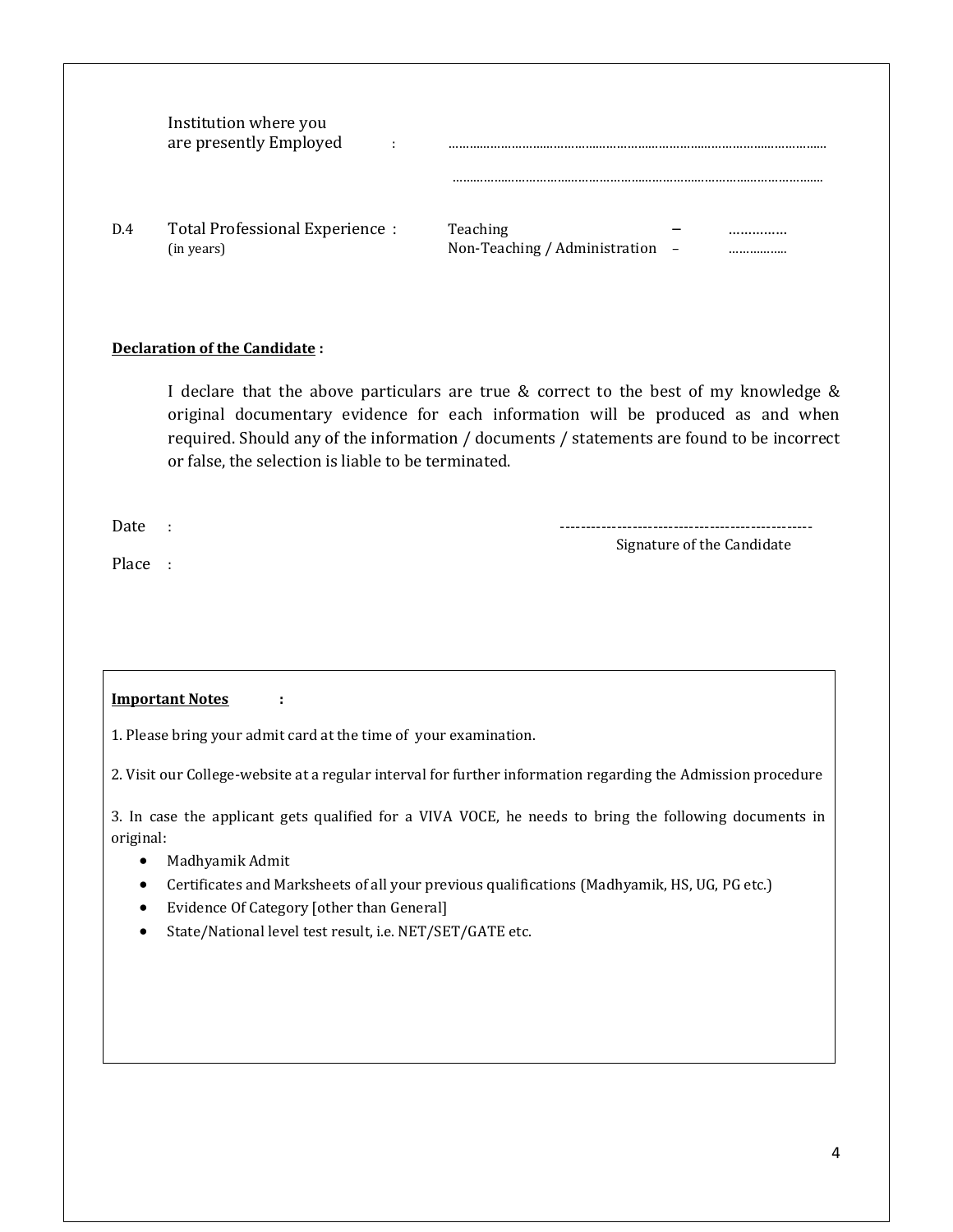|     | Institution where you<br>are presently Employed<br>٠ |                                                                        |
|-----|------------------------------------------------------|------------------------------------------------------------------------|
| D.4 | Total Professional Experience :<br>(in years)        | Teaching<br><br>Non-Teaching / Administration<br>$\qquad \qquad -$<br> |

#### **Declaration of the Candidate :**

I declare that the above particulars are true & correct to the best of my knowledge & original documentary evidence for each information will be produced as and when required. Should any of the information / documents / statements are found to be incorrect or false, the selection is liable to be terminated.

Date : -------------------------------------------------

Place :

Signature of the Candidate

#### **Important Notes :**

1. Please bring your admit card at the time of your examination.

2. Visit our College-website at a regular interval for further information regarding the Admission procedure

3. In case the applicant gets qualified for a VIVA VOCE, he needs to bring the following documents in original:

- Madhyamik Admit
- Certificates and Marksheets of all your previous qualifications (Madhyamik, HS, UG, PG etc.)
- Evidence Of Category [other than General]
- State/National level test result, i.e. NET/SET/GATE etc.